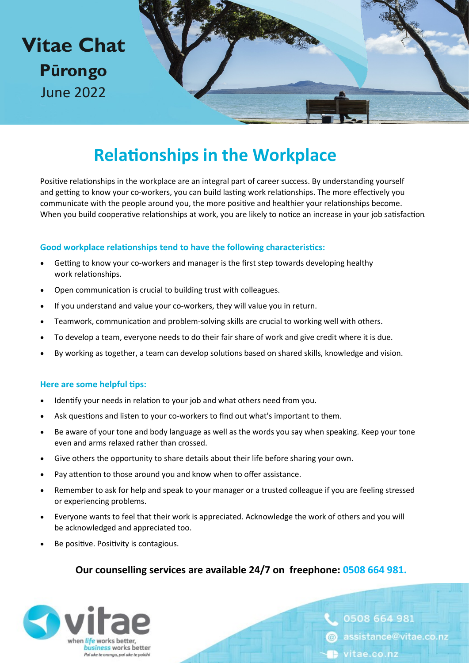

### **Relationships in the Workplace**

Positive relationships in the workplace are an integral part of career success. By understanding yourself and getting to know your co-workers, you can build lasting work relationships. The more effectively you communicate with the people around you, the more positive and healthier your relationships become. When you build cooperative relationships at work, you are likely to notice an increase in your job satisfaction.

#### **Good workplace relationships tend to have the following characteristics:**

- Getting to know your co-workers and manager is the first step towards developing healthy work relationships.
- Open communication is crucial to building trust with colleagues.
- If you understand and value your co-workers, they will value you in return.
- Teamwork, communication and problem-solving skills are crucial to working well with others.
- To develop a team, everyone needs to do their fair share of work and give credit where it is due.
- By working as together, a team can develop solutions based on shared skills, knowledge and vision.

#### **Here are some helpful tips:**

- Identify your needs in relation to your job and what others need from you.
- Ask questions and listen to your co-workers to find out what's important to them.
- Be aware of your tone and body language as well as the words you say when speaking. Keep your tone even and arms relaxed rather than crossed.
- Give others the opportunity to share details about their life before sharing your own.
- Pay attention to those around you and know when to offer assistance.
- Remember to ask for help and speak to your manager or a trusted colleague if you are feeling stressed or experiencing problems.
- Everyone wants to feel that their work is appreciated. Acknowledge the work of others and you will be acknowledged and appreciated too.
- Be positive. Positivity is contagious.

### **Our counselling services are available 24/7 on freephone: 0508 664 981.**



0508 664 981 @ assistance@vitae.co.nz vitae.co.nz